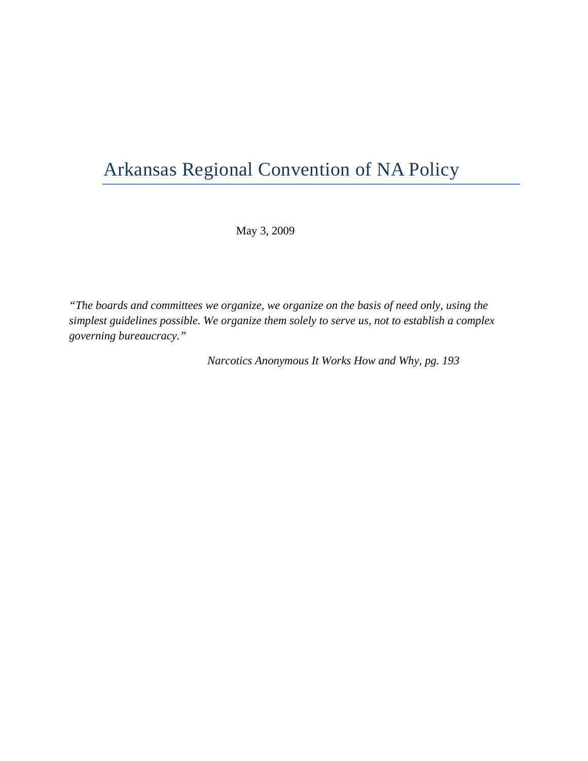# Arkansas Regional Convention of NA Policy

May 3, 2009

*"The boards and committees we organize, we organize on the basis of need only, using the simplest guidelines possible. We organize them solely to serve us, not to establish a complex governing bureaucracy."* 

 *Narcotics Anonymous It Works How and Why, pg. 193*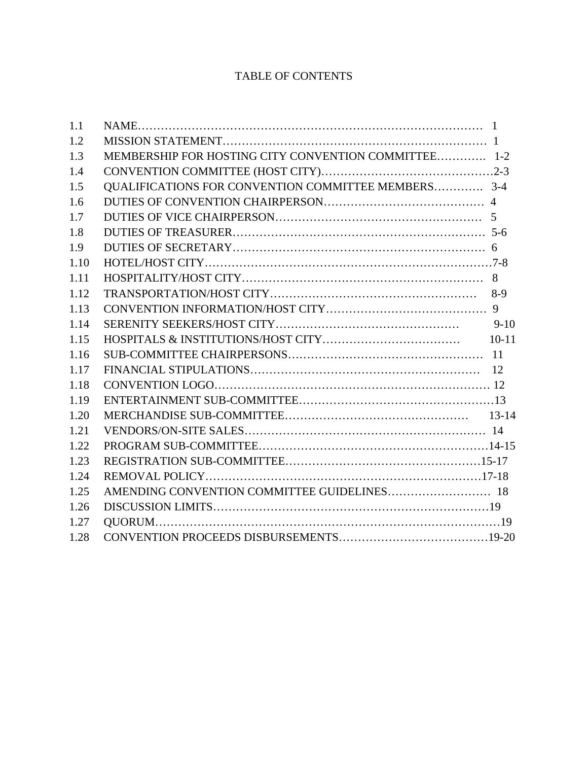## TABLE OF CONTENTS

| 1.1  |                                                      |
|------|------------------------------------------------------|
| 1.2  |                                                      |
| 1.3  | MEMBERSHIP FOR HOSTING CITY CONVENTION COMMITTEE 1-2 |
| 1.4  |                                                      |
| 1.5  | QUALIFICATIONS FOR CONVENTION COMMITTEE MEMBERS 3-4  |
| 1.6  |                                                      |
| 1.7  |                                                      |
| 1.8  |                                                      |
| 1.9  |                                                      |
| 1.10 |                                                      |
| 1.11 |                                                      |
| 1.12 |                                                      |
| 1.13 |                                                      |
| 1.14 | $9-10$                                               |
| 1.15 |                                                      |
| 1.16 |                                                      |
| 1.17 |                                                      |
| 1.18 |                                                      |
| 1.19 |                                                      |
| 1.20 |                                                      |
| 1.21 |                                                      |
| 1.22 |                                                      |
| 1.23 |                                                      |
| 1.24 |                                                      |
| 1.25 |                                                      |
| 1.26 |                                                      |
| 1.27 |                                                      |
| 1.28 |                                                      |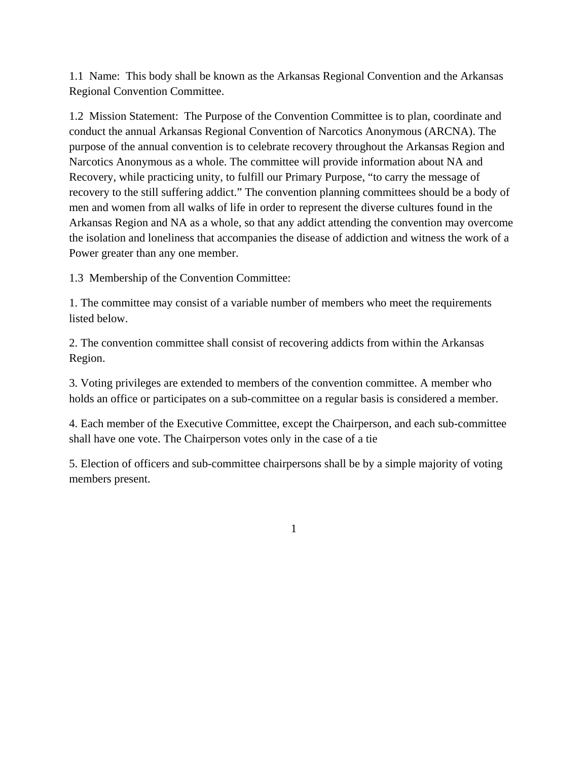1.1 Name: This body shall be known as the Arkansas Regional Convention and the Arkansas Regional Convention Committee.

1.2 Mission Statement: The Purpose of the Convention Committee is to plan, coordinate and conduct the annual Arkansas Regional Convention of Narcotics Anonymous (ARCNA). The purpose of the annual convention is to celebrate recovery throughout the Arkansas Region and Narcotics Anonymous as a whole. The committee will provide information about NA and Recovery, while practicing unity, to fulfill our Primary Purpose, "to carry the message of recovery to the still suffering addict." The convention planning committees should be a body of men and women from all walks of life in order to represent the diverse cultures found in the Arkansas Region and NA as a whole, so that any addict attending the convention may overcome the isolation and loneliness that accompanies the disease of addiction and witness the work of a Power greater than any one member.

1.3 Membership of the Convention Committee:

1. The committee may consist of a variable number of members who meet the requirements listed below.

2. The convention committee shall consist of recovering addicts from within the Arkansas Region.

3. Voting privileges are extended to members of the convention committee. A member who holds an office or participates on a sub-committee on a regular basis is considered a member.

4. Each member of the Executive Committee, except the Chairperson, and each sub-committee shall have one vote. The Chairperson votes only in the case of a tie

5. Election of officers and sub-committee chairpersons shall be by a simple majority of voting members present.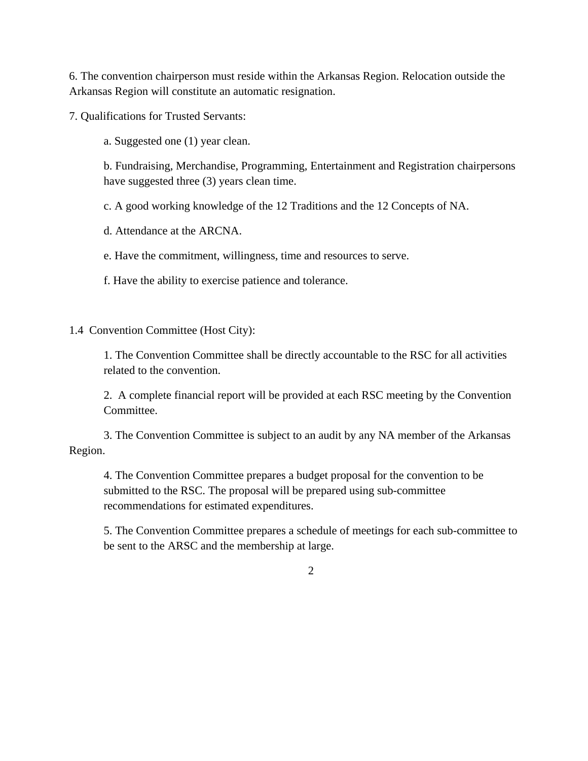6. The convention chairperson must reside within the Arkansas Region. Relocation outside the Arkansas Region will constitute an automatic resignation.

7. Qualifications for Trusted Servants:

a. Suggested one (1) year clean.

b. Fundraising, Merchandise, Programming, Entertainment and Registration chairpersons have suggested three (3) years clean time.

c. A good working knowledge of the 12 Traditions and the 12 Concepts of NA.

d. Attendance at the ARCNA.

e. Have the commitment, willingness, time and resources to serve.

f. Have the ability to exercise patience and tolerance.

1.4 Convention Committee (Host City):

1. The Convention Committee shall be directly accountable to the RSC for all activities related to the convention.

2. A complete financial report will be provided at each RSC meeting by the Convention Committee.

3. The Convention Committee is subject to an audit by any NA member of the Arkansas Region.

4. The Convention Committee prepares a budget proposal for the convention to be submitted to the RSC. The proposal will be prepared using sub-committee recommendations for estimated expenditures.

5. The Convention Committee prepares a schedule of meetings for each sub-committee to be sent to the ARSC and the membership at large.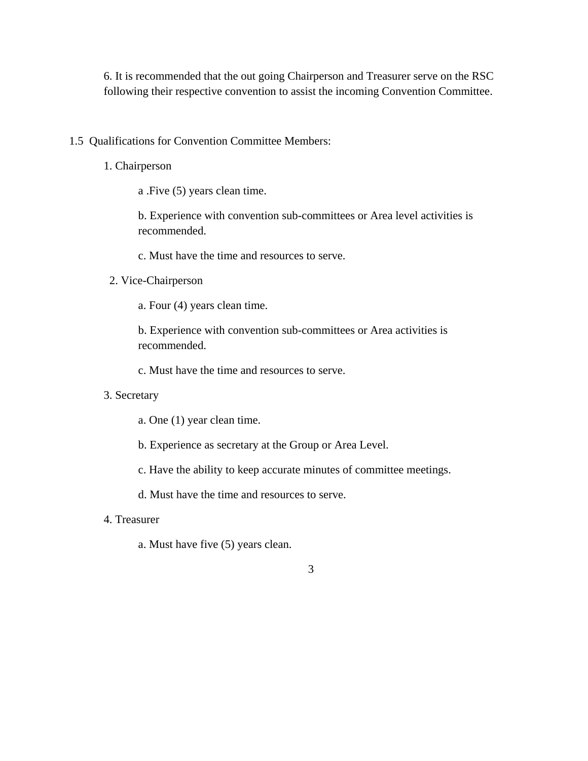6. It is recommended that the out going Chairperson and Treasurer serve on the RSC following their respective convention to assist the incoming Convention Committee.

- 1.5 Qualifications for Convention Committee Members:
	- 1. Chairperson

a .Five (5) years clean time.

b. Experience with convention sub-committees or Area level activities is recommended.

- c. Must have the time and resources to serve.
- 2. Vice-Chairperson
	- a. Four (4) years clean time.

b. Experience with convention sub-committees or Area activities is recommended.

c. Must have the time and resources to serve.

- 3. Secretary
	- a. One (1) year clean time.

b. Experience as secretary at the Group or Area Level.

c. Have the ability to keep accurate minutes of committee meetings.

d. Must have the time and resources to serve.

- 4. Treasurer
	- a. Must have five (5) years clean.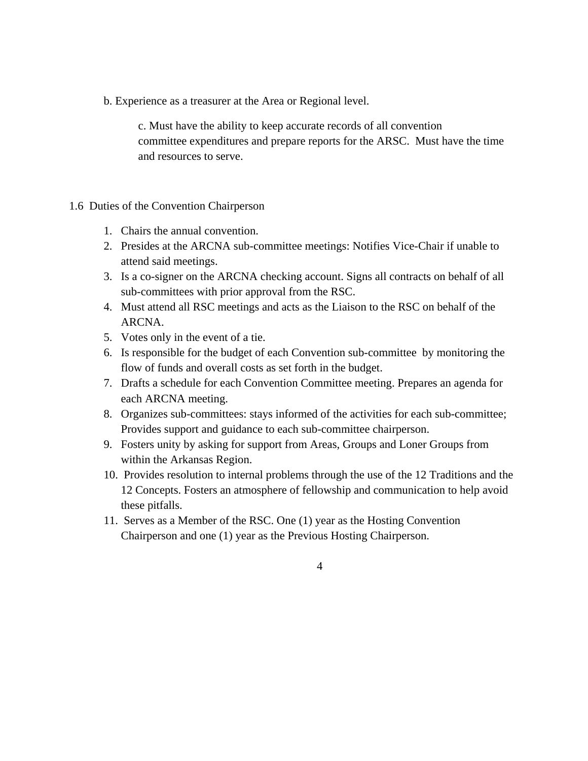b. Experience as a treasurer at the Area or Regional level.

c. Must have the ability to keep accurate records of all convention committee expenditures and prepare reports for the ARSC. Must have the time and resources to serve.

#### 1.6 Duties of the Convention Chairperson

- 1. Chairs the annual convention.
- 2. Presides at the ARCNA sub-committee meetings: Notifies Vice-Chair if unable to attend said meetings.
- 3. Is a co-signer on the ARCNA checking account. Signs all contracts on behalf of all sub-committees with prior approval from the RSC.
- 4. Must attend all RSC meetings and acts as the Liaison to the RSC on behalf of the ARCNA.
- 5. Votes only in the event of a tie.
- 6. Is responsible for the budget of each Convention sub-committee by monitoring the flow of funds and overall costs as set forth in the budget.
- 7. Drafts a schedule for each Convention Committee meeting. Prepares an agenda for each ARCNA meeting.
- 8. Organizes sub-committees: stays informed of the activities for each sub-committee; Provides support and guidance to each sub-committee chairperson.
- 9. Fosters unity by asking for support from Areas, Groups and Loner Groups from within the Arkansas Region.
- 10. Provides resolution to internal problems through the use of the 12 Traditions and the 12 Concepts. Fosters an atmosphere of fellowship and communication to help avoid these pitfalls.
- 11. Serves as a Member of the RSC. One (1) year as the Hosting Convention Chairperson and one (1) year as the Previous Hosting Chairperson.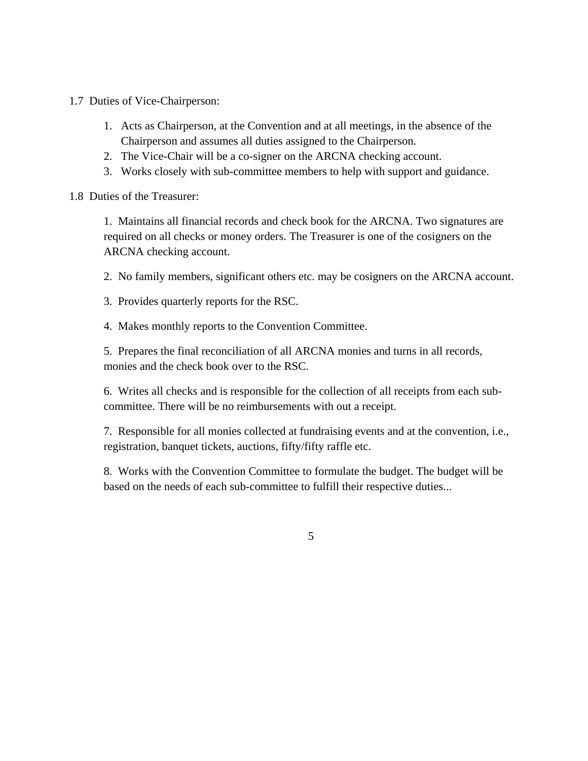1.7 Duties of Vice-Chairperson:

- 1. Acts as Chairperson, at the Convention and at all meetings, in the absence of the Chairperson and assumes all duties assigned to the Chairperson.
- 2. The Vice-Chair will be a co-signer on the ARCNA checking account.
- 3. Works closely with sub-committee members to help with support and guidance.

#### 1.8 Duties of the Treasurer:

1. Maintains all financial records and check book for the ARCNA. Two signatures are required on all checks or money orders. The Treasurer is one of the cosigners on the ARCNA checking account.

2. No family members, significant others etc. may be cosigners on the ARCNA account.

- 3. Provides quarterly reports for the RSC.
- 4. Makes monthly reports to the Convention Committee.

5. Prepares the final reconciliation of all ARCNA monies and turns in all records, monies and the check book over to the RSC.

6. Writes all checks and is responsible for the collection of all receipts from each subcommittee. There will be no reimbursements with out a receipt.

7. Responsible for all monies collected at fundraising events and at the convention, i.e., registration, banquet tickets, auctions, fifty/fifty raffle etc.

8. Works with the Convention Committee to formulate the budget. The budget will be based on the needs of each sub-committee to fulfill their respective duties...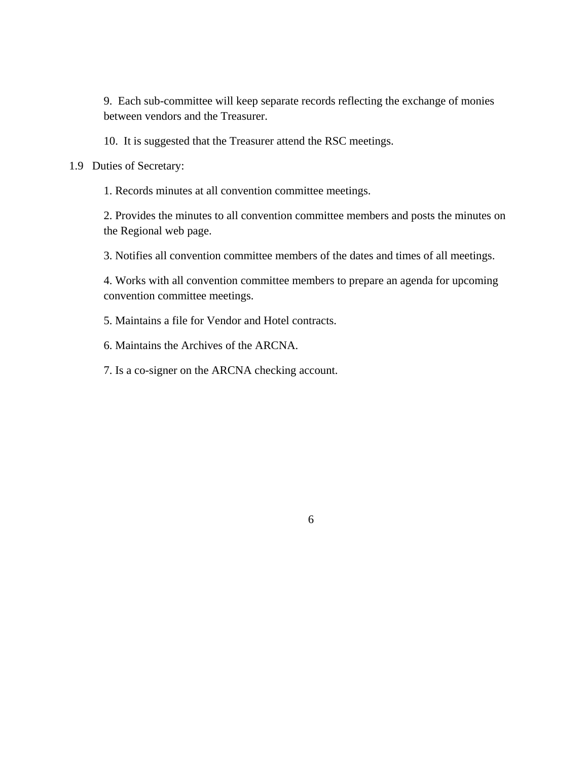9. Each sub-committee will keep separate records reflecting the exchange of monies between vendors and the Treasurer.

10. It is suggested that the Treasurer attend the RSC meetings.

1.9 Duties of Secretary:

1. Records minutes at all convention committee meetings.

2. Provides the minutes to all convention committee members and posts the minutes on the Regional web page.

3. Notifies all convention committee members of the dates and times of all meetings.

4. Works with all convention committee members to prepare an agenda for upcoming convention committee meetings.

5. Maintains a file for Vendor and Hotel contracts.

6. Maintains the Archives of the ARCNA.

7. Is a co-signer on the ARCNA checking account.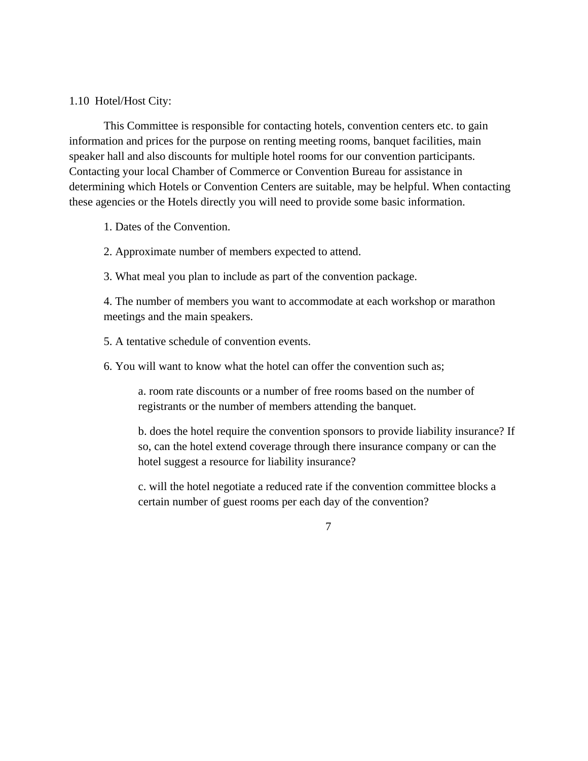#### 1.10 Hotel/Host City:

This Committee is responsible for contacting hotels, convention centers etc. to gain information and prices for the purpose on renting meeting rooms, banquet facilities, main speaker hall and also discounts for multiple hotel rooms for our convention participants. Contacting your local Chamber of Commerce or Convention Bureau for assistance in determining which Hotels or Convention Centers are suitable, may be helpful. When contacting these agencies or the Hotels directly you will need to provide some basic information.

1. Dates of the Convention.

2. Approximate number of members expected to attend.

3. What meal you plan to include as part of the convention package.

4. The number of members you want to accommodate at each workshop or marathon meetings and the main speakers.

5. A tentative schedule of convention events.

6. You will want to know what the hotel can offer the convention such as;

a. room rate discounts or a number of free rooms based on the number of registrants or the number of members attending the banquet.

b. does the hotel require the convention sponsors to provide liability insurance? If so, can the hotel extend coverage through there insurance company or can the hotel suggest a resource for liability insurance?

c. will the hotel negotiate a reduced rate if the convention committee blocks a certain number of guest rooms per each day of the convention?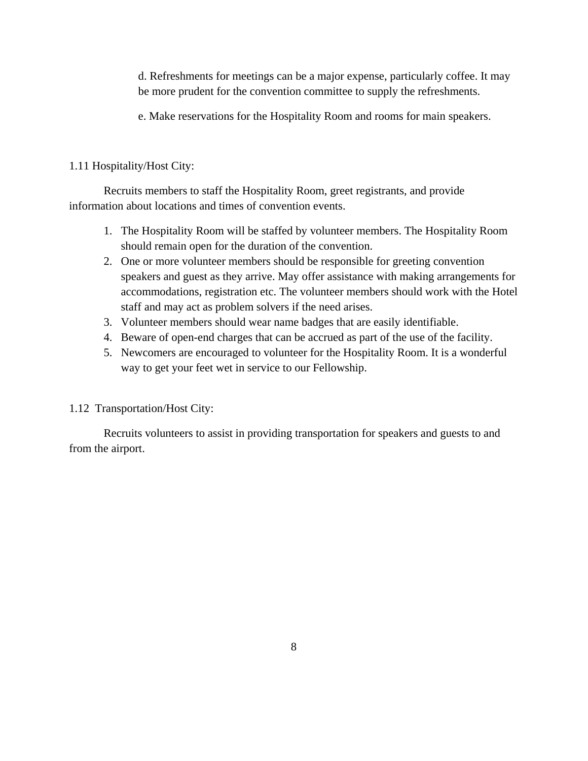d. Refreshments for meetings can be a major expense, particularly coffee. It may be more prudent for the convention committee to supply the refreshments.

e. Make reservations for the Hospitality Room and rooms for main speakers.

## 1.11 Hospitality/Host City:

 Recruits members to staff the Hospitality Room, greet registrants, and provide information about locations and times of convention events.

- 1. The Hospitality Room will be staffed by volunteer members. The Hospitality Room should remain open for the duration of the convention.
- 2. One or more volunteer members should be responsible for greeting convention speakers and guest as they arrive. May offer assistance with making arrangements for accommodations, registration etc. The volunteer members should work with the Hotel staff and may act as problem solvers if the need arises.
- 3. Volunteer members should wear name badges that are easily identifiable.
- 4. Beware of open-end charges that can be accrued as part of the use of the facility.
- 5. Newcomers are encouraged to volunteer for the Hospitality Room. It is a wonderful way to get your feet wet in service to our Fellowship.

## 1.12 Transportation/Host City:

 Recruits volunteers to assist in providing transportation for speakers and guests to and from the airport.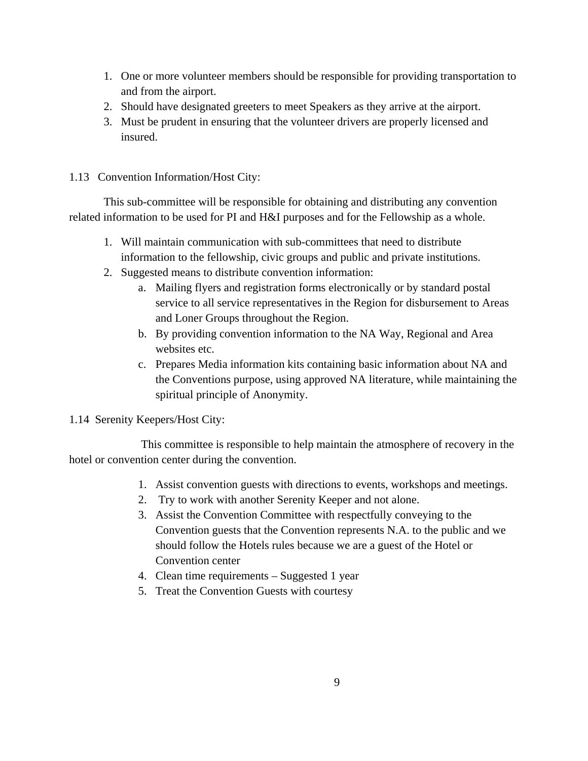- 1. One or more volunteer members should be responsible for providing transportation to and from the airport.
- 2. Should have designated greeters to meet Speakers as they arrive at the airport.
- 3. Must be prudent in ensuring that the volunteer drivers are properly licensed and insured.

## 1.13 Convention Information/Host City:

 This sub-committee will be responsible for obtaining and distributing any convention related information to be used for PI and H&I purposes and for the Fellowship as a whole.

- 1. Will maintain communication with sub-committees that need to distribute information to the fellowship, civic groups and public and private institutions.
- 2. Suggested means to distribute convention information:
	- a. Mailing flyers and registration forms electronically or by standard postal service to all service representatives in the Region for disbursement to Areas and Loner Groups throughout the Region.
	- b. By providing convention information to the NA Way, Regional and Area websites etc.
	- c. Prepares Media information kits containing basic information about NA and the Conventions purpose, using approved NA literature, while maintaining the spiritual principle of Anonymity.

## 1.14 Serenity Keepers/Host City:

 This committee is responsible to help maintain the atmosphere of recovery in the hotel or convention center during the convention.

- 1. Assist convention guests with directions to events, workshops and meetings.
- 2. Try to work with another Serenity Keeper and not alone.
- 3. Assist the Convention Committee with respectfully conveying to the Convention guests that the Convention represents N.A. to the public and we should follow the Hotels rules because we are a guest of the Hotel or Convention center
- 4. Clean time requirements Suggested 1 year
- 5. Treat the Convention Guests with courtesy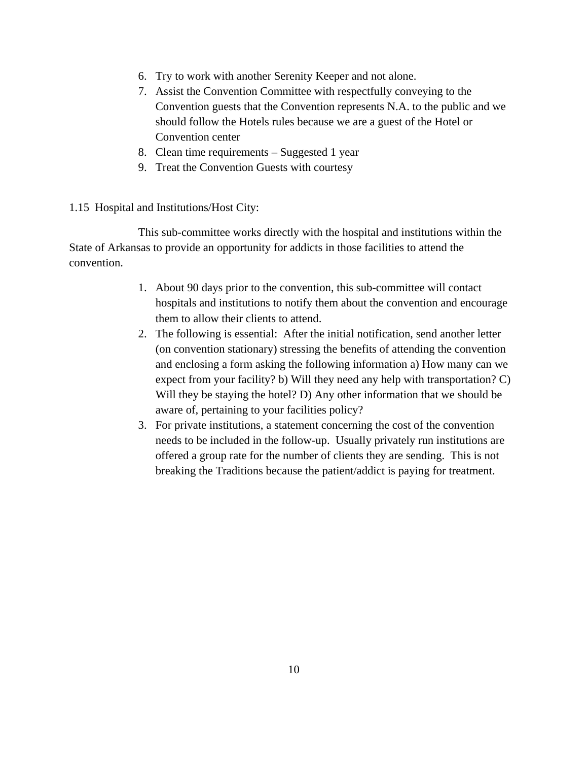- 6. Try to work with another Serenity Keeper and not alone.
- 7. Assist the Convention Committee with respectfully conveying to the Convention guests that the Convention represents N.A. to the public and we should follow the Hotels rules because we are a guest of the Hotel or Convention center
- 8. Clean time requirements Suggested 1 year
- 9. Treat the Convention Guests with courtesy
- 1.15 Hospital and Institutions/Host City:

 This sub-committee works directly with the hospital and institutions within the State of Arkansas to provide an opportunity for addicts in those facilities to attend the convention.

- 1. About 90 days prior to the convention, this sub-committee will contact hospitals and institutions to notify them about the convention and encourage them to allow their clients to attend.
- 2. The following is essential: After the initial notification, send another letter (on convention stationary) stressing the benefits of attending the convention and enclosing a form asking the following information a) How many can we expect from your facility? b) Will they need any help with transportation? C) Will they be staying the hotel? D) Any other information that we should be aware of, pertaining to your facilities policy?
- 3. For private institutions, a statement concerning the cost of the convention needs to be included in the follow-up. Usually privately run institutions are offered a group rate for the number of clients they are sending. This is not breaking the Traditions because the patient/addict is paying for treatment.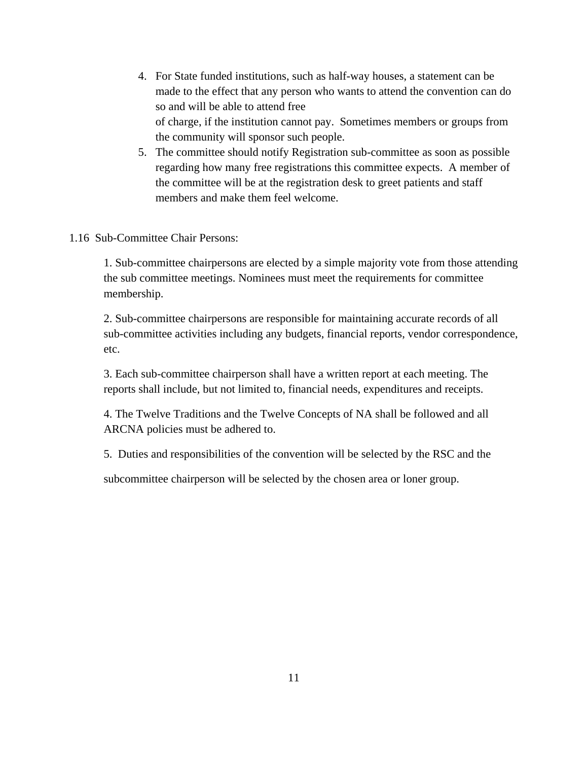- 4. For State funded institutions, such as half-way houses, a statement can be made to the effect that any person who wants to attend the convention can do so and will be able to attend free of charge, if the institution cannot pay. Sometimes members or groups from the community will sponsor such people.
- 5. The committee should notify Registration sub-committee as soon as possible regarding how many free registrations this committee expects. A member of the committee will be at the registration desk to greet patients and staff members and make them feel welcome.
- 1.16 Sub-Committee Chair Persons:

1. Sub-committee chairpersons are elected by a simple majority vote from those attending the sub committee meetings. Nominees must meet the requirements for committee membership.

2. Sub-committee chairpersons are responsible for maintaining accurate records of all sub-committee activities including any budgets, financial reports, vendor correspondence, etc.

3. Each sub-committee chairperson shall have a written report at each meeting. The reports shall include, but not limited to, financial needs, expenditures and receipts.

4. The Twelve Traditions and the Twelve Concepts of NA shall be followed and all ARCNA policies must be adhered to.

5. Duties and responsibilities of the convention will be selected by the RSC and the

subcommittee chairperson will be selected by the chosen area or loner group.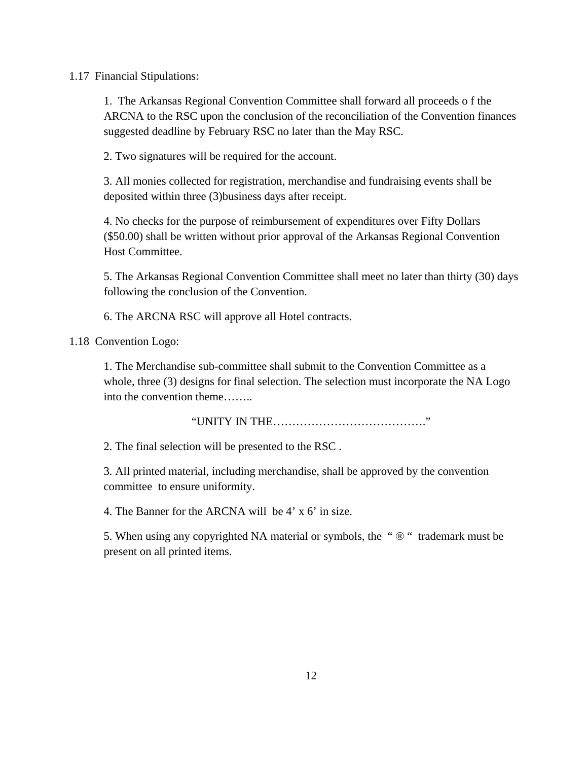#### 1.17 Financial Stipulations:

1. The Arkansas Regional Convention Committee shall forward all proceeds o f the ARCNA to the RSC upon the conclusion of the reconciliation of the Convention finances suggested deadline by February RSC no later than the May RSC.

2. Two signatures will be required for the account.

3. All monies collected for registration, merchandise and fundraising events shall be deposited within three (3)business days after receipt.

4. No checks for the purpose of reimbursement of expenditures over Fifty Dollars (\$50.00) shall be written without prior approval of the Arkansas Regional Convention Host Committee.

5. The Arkansas Regional Convention Committee shall meet no later than thirty (30) days following the conclusion of the Convention.

6. The ARCNA RSC will approve all Hotel contracts.

1.18 Convention Logo:

1. The Merchandise sub-committee shall submit to the Convention Committee as a whole, three (3) designs for final selection. The selection must incorporate the NA Logo into the convention theme……..

"UNITY IN THE…………………………………."

2. The final selection will be presented to the RSC .

3. All printed material, including merchandise, shall be approved by the convention committee to ensure uniformity.

4. The Banner for the ARCNA will be 4' x 6' in size.

5. When using any copyrighted NA material or symbols, the " $\mathcal{D}$ " trademark must be present on all printed items.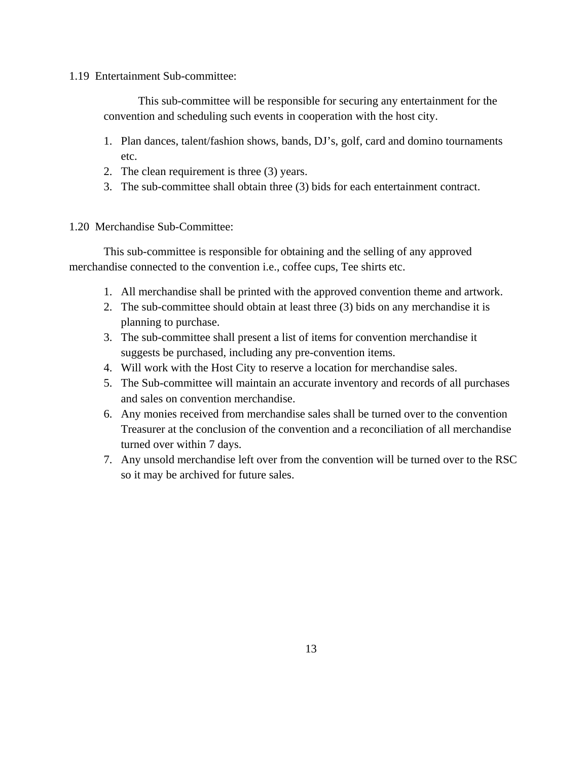1.19 Entertainment Sub-committee:

 This sub-committee will be responsible for securing any entertainment for the convention and scheduling such events in cooperation with the host city.

- 1. Plan dances, talent/fashion shows, bands, DJ's, golf, card and domino tournaments etc.
- 2. The clean requirement is three (3) years.
- 3. The sub-committee shall obtain three (3) bids for each entertainment contract.

## 1.20 Merchandise Sub-Committee:

 This sub-committee is responsible for obtaining and the selling of any approved merchandise connected to the convention i.e., coffee cups, Tee shirts etc.

- 1. All merchandise shall be printed with the approved convention theme and artwork.
- 2. The sub-committee should obtain at least three (3) bids on any merchandise it is planning to purchase.
- 3. The sub-committee shall present a list of items for convention merchandise it suggests be purchased, including any pre-convention items.
- 4. Will work with the Host City to reserve a location for merchandise sales.
- 5. The Sub-committee will maintain an accurate inventory and records of all purchases and sales on convention merchandise.
- 6. Any monies received from merchandise sales shall be turned over to the convention Treasurer at the conclusion of the convention and a reconciliation of all merchandise turned over within 7 days.
- 7. Any unsold merchandise left over from the convention will be turned over to the RSC so it may be archived for future sales.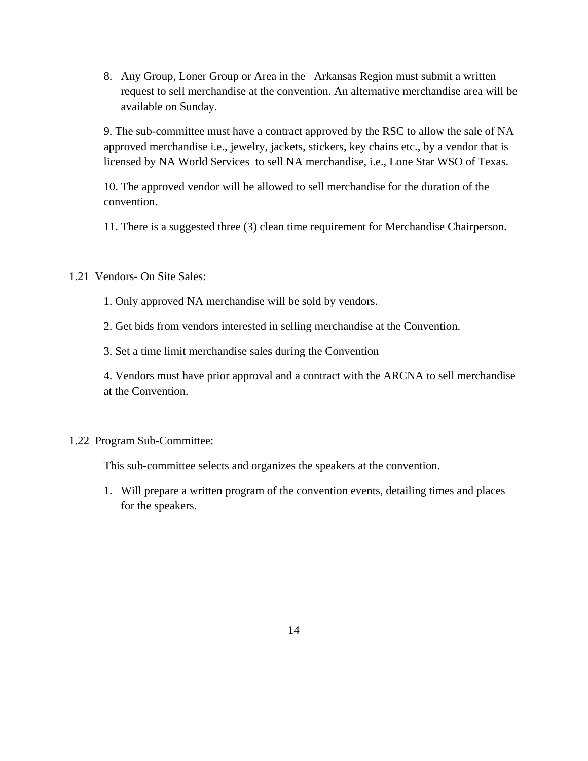8. Any Group, Loner Group or Area in the Arkansas Region must submit a written request to sell merchandise at the convention. An alternative merchandise area will be available on Sunday.

9. The sub-committee must have a contract approved by the RSC to allow the sale of NA approved merchandise i.e., jewelry, jackets, stickers, key chains etc., by a vendor that is licensed by NA World Services to sell NA merchandise, i.e., Lone Star WSO of Texas.

10. The approved vendor will be allowed to sell merchandise for the duration of the convention.

11. There is a suggested three (3) clean time requirement for Merchandise Chairperson.

## 1.21 Vendors- On Site Sales:

1. Only approved NA merchandise will be sold by vendors.

2. Get bids from vendors interested in selling merchandise at the Convention.

3. Set a time limit merchandise sales during the Convention

4. Vendors must have prior approval and a contract with the ARCNA to sell merchandise at the Convention.

#### 1.22 Program Sub-Committee:

This sub-committee selects and organizes the speakers at the convention.

1. Will prepare a written program of the convention events, detailing times and places for the speakers.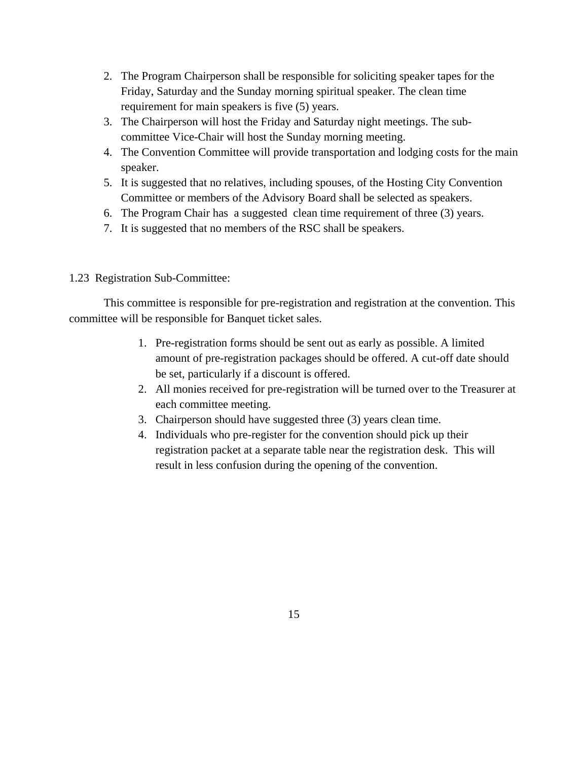- 2. The Program Chairperson shall be responsible for soliciting speaker tapes for the Friday, Saturday and the Sunday morning spiritual speaker. The clean time requirement for main speakers is five (5) years.
- 3. The Chairperson will host the Friday and Saturday night meetings. The subcommittee Vice-Chair will host the Sunday morning meeting.
- 4. The Convention Committee will provide transportation and lodging costs for the main speaker.
- 5. It is suggested that no relatives, including spouses, of the Hosting City Convention Committee or members of the Advisory Board shall be selected as speakers.
- 6. The Program Chair has a suggested clean time requirement of three (3) years.
- 7. It is suggested that no members of the RSC shall be speakers.

## 1.23 Registration Sub-Committee:

This committee is responsible for pre-registration and registration at the convention. This committee will be responsible for Banquet ticket sales.

- 1. Pre-registration forms should be sent out as early as possible. A limited amount of pre-registration packages should be offered. A cut-off date should be set, particularly if a discount is offered.
- 2. All monies received for pre-registration will be turned over to the Treasurer at each committee meeting.
- 3. Chairperson should have suggested three (3) years clean time.
- 4. Individuals who pre-register for the convention should pick up their registration packet at a separate table near the registration desk. This will result in less confusion during the opening of the convention.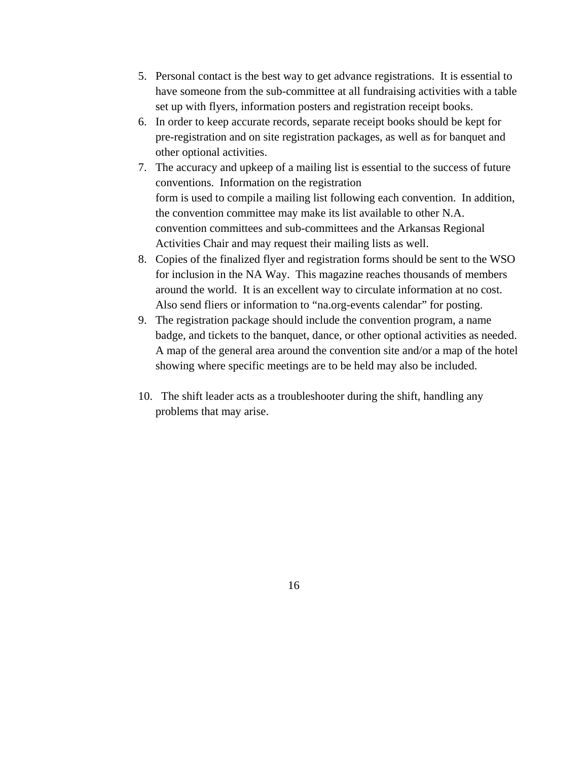- 5. Personal contact is the best way to get advance registrations. It is essential to have someone from the sub-committee at all fundraising activities with a table set up with flyers, information posters and registration receipt books.
- 6. In order to keep accurate records, separate receipt books should be kept for pre-registration and on site registration packages, as well as for banquet and other optional activities.
- 7. The accuracy and upkeep of a mailing list is essential to the success of future conventions. Information on the registration form is used to compile a mailing list following each convention. In addition, the convention committee may make its list available to other N.A. convention committees and sub-committees and the Arkansas Regional Activities Chair and may request their mailing lists as well.
- 8. Copies of the finalized flyer and registration forms should be sent to the WSO for inclusion in the NA Way. This magazine reaches thousands of members around the world. It is an excellent way to circulate information at no cost. Also send fliers or information to "na.org-events calendar" for posting.
- 9. The registration package should include the convention program, a name badge, and tickets to the banquet, dance, or other optional activities as needed. A map of the general area around the convention site and/or a map of the hotel showing where specific meetings are to be held may also be included.
- 10. The shift leader acts as a troubleshooter during the shift, handling any problems that may arise.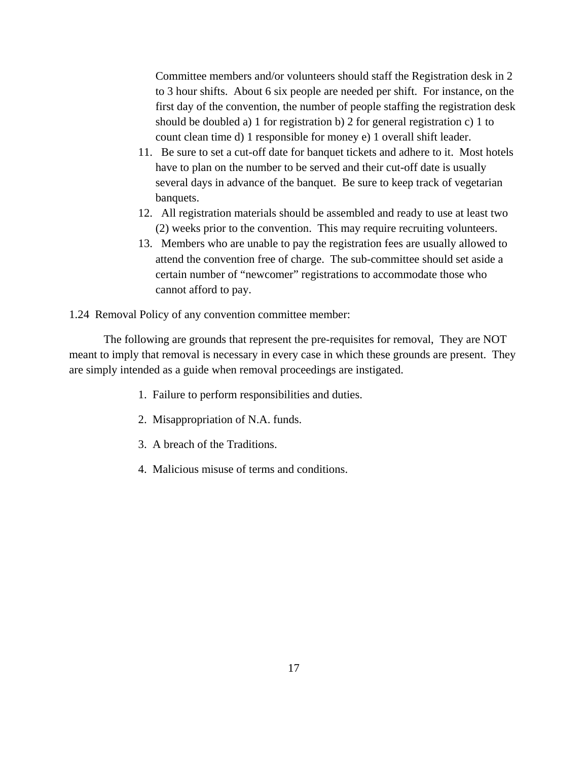Committee members and/or volunteers should staff the Registration desk in 2 to 3 hour shifts. About 6 six people are needed per shift. For instance, on the first day of the convention, the number of people staffing the registration desk should be doubled a) 1 for registration b) 2 for general registration c) 1 to count clean time d) 1 responsible for money e) 1 overall shift leader.

- 11. Be sure to set a cut-off date for banquet tickets and adhere to it. Most hotels have to plan on the number to be served and their cut-off date is usually several days in advance of the banquet. Be sure to keep track of vegetarian banquets.
- 12. All registration materials should be assembled and ready to use at least two (2) weeks prior to the convention. This may require recruiting volunteers.
- 13. Members who are unable to pay the registration fees are usually allowed to attend the convention free of charge. The sub-committee should set aside a certain number of "newcomer" registrations to accommodate those who cannot afford to pay.

1.24 Removal Policy of any convention committee member:

The following are grounds that represent the pre-requisites for removal, They are NOT meant to imply that removal is necessary in every case in which these grounds are present. They are simply intended as a guide when removal proceedings are instigated.

- 1. Failure to perform responsibilities and duties.
- 2. Misappropriation of N.A. funds.
- 3. A breach of the Traditions.
- 4. Malicious misuse of terms and conditions.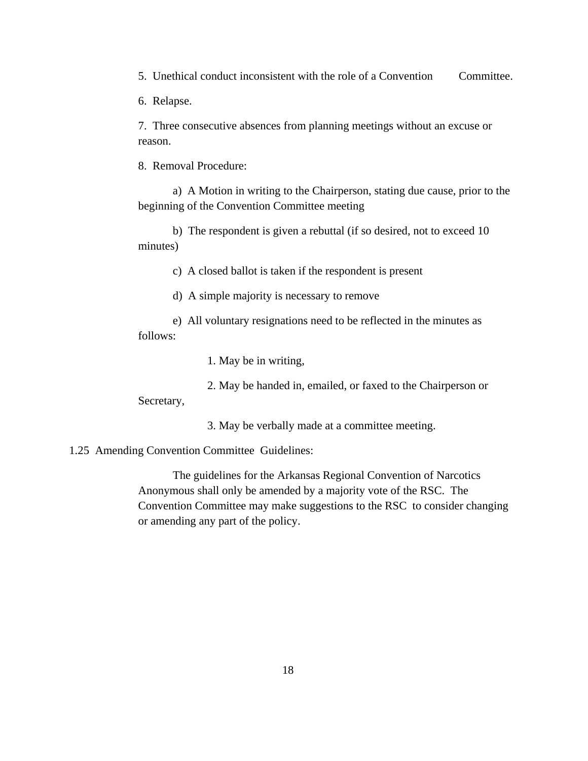5. Unethical conduct inconsistent with the role of a Convention Committee.

6. Relapse.

7. Three consecutive absences from planning meetings without an excuse or reason.

8. Removal Procedure:

a) A Motion in writing to the Chairperson, stating due cause, prior to the beginning of the Convention Committee meeting

b) The respondent is given a rebuttal (if so desired, not to exceed 10 minutes)

c) A closed ballot is taken if the respondent is present

d) A simple majority is necessary to remove

e) All voluntary resignations need to be reflected in the minutes as follows:

1. May be in writing,

2. May be handed in, emailed, or faxed to the Chairperson or

Secretary,

3. May be verbally made at a committee meeting.

1.25 Amending Convention Committee Guidelines:

The guidelines for the Arkansas Regional Convention of Narcotics Anonymous shall only be amended by a majority vote of the RSC. The Convention Committee may make suggestions to the RSC to consider changing or amending any part of the policy.